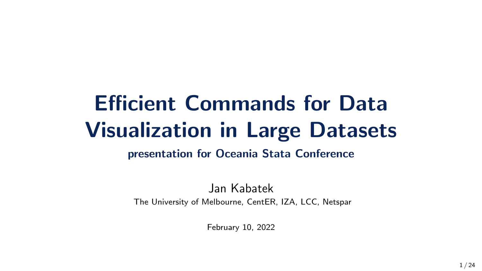## Efficient Commands for Data Visualization in Large Datasets

#### presentation for Oceania Stata Conference

Jan Kabatek The University of Melbourne, CentER, IZA, LCC, Netspar

February 10, 2022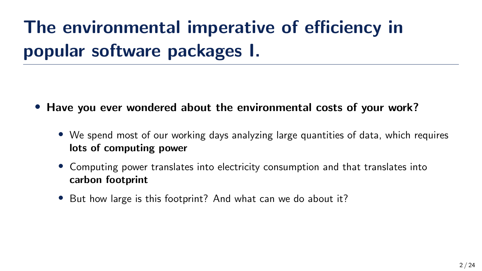### The environmental imperative of efficiency in popular software packages I.

- Have you ever wondered about the environmental costs of your work?
	- We spend most of our working days analyzing large quantities of data, which requires lots of computing power
	- Computing power translates into electricity consumption and that translates into carbon footprint
	- But how large is this footprint? And what can we do about it?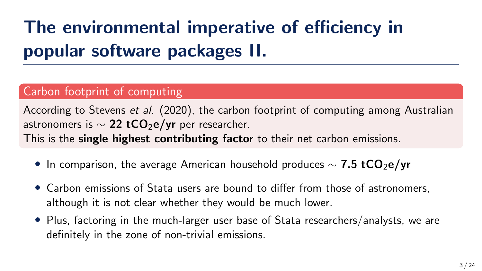### The environmental imperative of efficiency in popular software packages II.

#### Carbon footprint of computing

According to Stevens et al. (2020), the carbon footprint of computing among Australian astronomers is  $\sim$  22 tCO<sub>2</sub>e/yr per researcher.

This is the single highest contributing factor to their net carbon emissions.

- In comparison, the average American household produces  $\sim$  7.5 tCO2e/yr
- Carbon emissions of Stata users are bound to differ from those of astronomers, although it is not clear whether they would be much lower.
- Plus, factoring in the much-larger user base of Stata researchers/analysts, we are definitely in the zone of non-trivial emissions.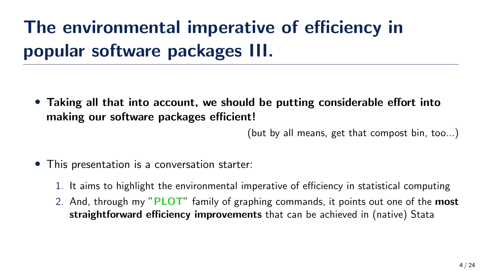### The environmental imperative of efficiency in popular software packages III.

• Taking all that into account, we should be putting considerable effort into making our software packages efficient!

(but by all means, get that compost bin, too...)

- This presentation is a conversation starter:
	- 1. It aims to highlight the environmental imperative of efficiency in statistical computing
	- 2. And, through my "PLOT" family of graphing commands, it points out one of the most straightforward efficiency improvements that can be achieved in (native) Stata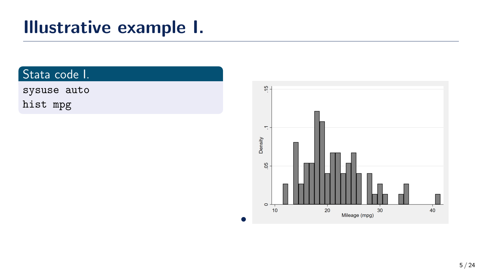#### Stata code I.

sysuse auto hist mpg

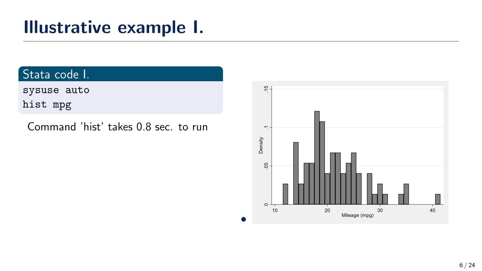#### Stata code I.

sysuse auto hist mpg

Command 'hist' takes 0.8 sec. to run

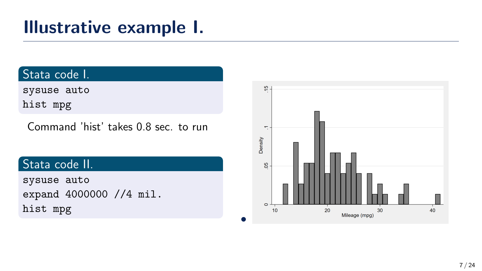#### Stata code I.

sysuse auto hist mpg

Command 'hist' takes 0.8 sec. to run

#### Stata code II.

sysuse auto expand 4000000 //4 mil. hist mpg

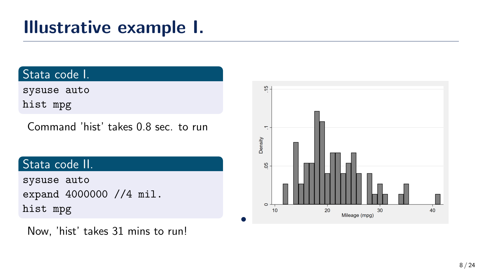#### Stata code I.

sysuse auto hist mpg

Command 'hist' takes 0.8 sec. to run

#### Stata code II.

sysuse auto expand 4000000 //4 mil. hist mpg

Now, 'hist' takes 31 mins to run!

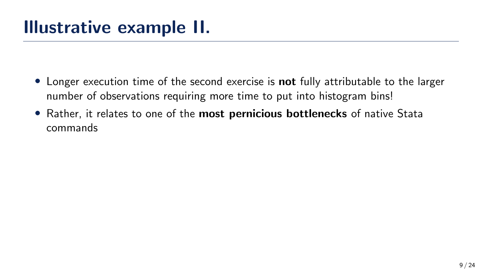- Longer execution time of the second exercise is **not** fully attributable to the larger number of observations requiring more time to put into histogram bins!
- Rather, it relates to one of the most pernicious bottlenecks of native Stata commands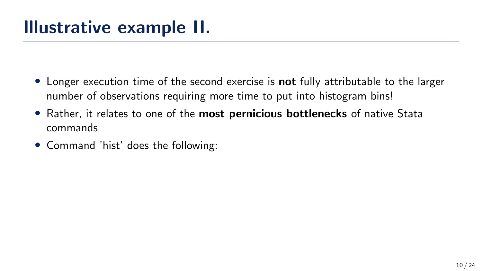- Longer execution time of the second exercise is **not** fully attributable to the larger number of observations requiring more time to put into histogram bins!
- Rather, it relates to one of the most pernicious bottlenecks of native Stata commands
- Command 'hist' does the following: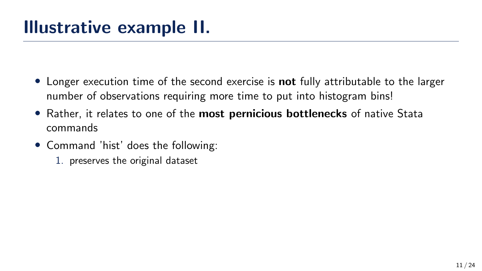- Longer execution time of the second exercise is **not** fully attributable to the larger number of observations requiring more time to put into histogram bins!
- Rather, it relates to one of the most pernicious bottlenecks of native Stata commands
- Command 'hist' does the following:
	- 1. preserves the original dataset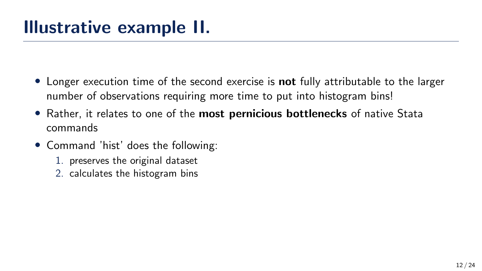- Longer execution time of the second exercise is **not** fully attributable to the larger number of observations requiring more time to put into histogram bins!
- Rather, it relates to one of the most pernicious bottlenecks of native Stata commands
- Command 'hist' does the following:
	- 1. preserves the original dataset
	- 2. calculates the histogram bins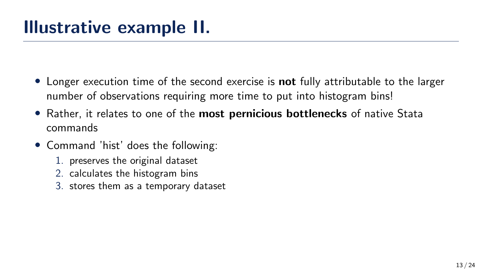- Longer execution time of the second exercise is **not** fully attributable to the larger number of observations requiring more time to put into histogram bins!
- Rather, it relates to one of the most pernicious bottlenecks of native Stata commands
- Command 'hist' does the following:
	- 1. preserves the original dataset
	- 2. calculates the histogram bins
	- 3. stores them as a temporary dataset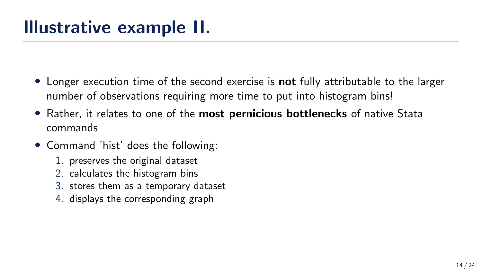- Longer execution time of the second exercise is **not** fully attributable to the larger number of observations requiring more time to put into histogram bins!
- Rather, it relates to one of the most pernicious bottlenecks of native Stata commands
- Command 'hist' does the following:
	- 1. preserves the original dataset
	- 2. calculates the histogram bins
	- 3. stores them as a temporary dataset
	- 4. displays the corresponding graph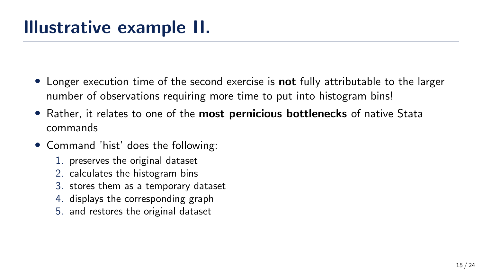- Longer execution time of the second exercise is **not** fully attributable to the larger number of observations requiring more time to put into histogram bins!
- Rather, it relates to one of the most pernicious bottlenecks of native Stata commands
- Command 'hist' does the following:
	- 1. preserves the original dataset
	- 2. calculates the histogram bins
	- 3. stores them as a temporary dataset
	- 4. displays the corresponding graph
	- 5. and restores the original dataset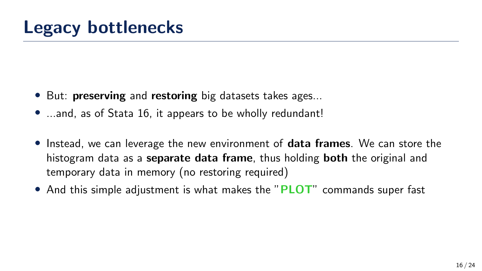- But: preserving and restoring big datasets takes ages...
- ...and, as of Stata 16, it appears to be wholly redundant!
- Instead, we can leverage the new environment of **data frames**. We can store the histogram data as a **separate data frame**, thus holding **both** the original and temporary data in memory (no restoring required)
- And this simple adjustment is what makes the "PLOT" commands super fast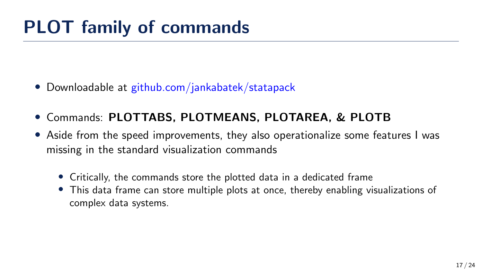- Downloadable at github.com/jankabatek/statapack
- Commands: PLOTTABS, PLOTMEANS, PLOTAREA, & PLOTB
- Aside from the speed improvements, they also operationalize some features I was missing in the standard visualization commands
	- Critically, the commands store the plotted data in a dedicated frame
	- This data frame can store multiple plots at once, thereby enabling visualizations of complex data systems.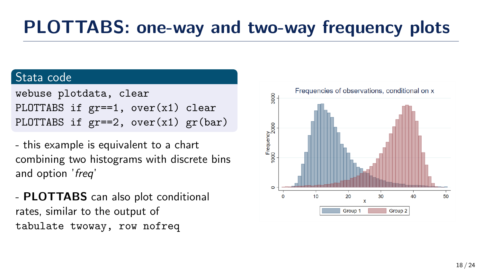### PLOTTABS: one-way and two-way frequency plots

#### Stata code

webuse plotdata, clear PLOTTABS if gr==1, over(x1) clear PLOTTABS if  $gr==2$ , over $(x1)$   $gr(bar)$ 

- this example is equivalent to a chart combining two histograms with discrete bins and option 'freq'

- PLOTTABS can also plot conditional rates, similar to the output of tabulate twoway, row nofreq

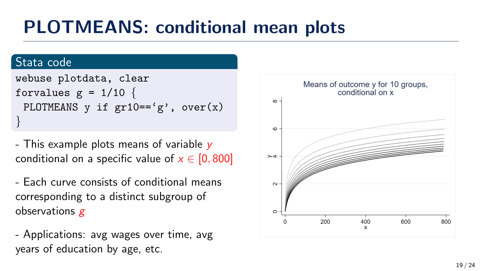### PLOTMEANS: conditional mean plots

#### Stata code

```
webuse plotdata, clear
forvalues g = 1/10 {
 PLOTMEANS y if gr10 == 'g', over(x)
}
```
- This example plots means of variable  $\bf{v}$ conditional on a specific value of  $x \in [0, 800]$ 

- Each curve consists of conditional means corresponding to a distinct subgroup of observations  $g$ 

- Applications: avg wages over time, avg years of education by age, etc.

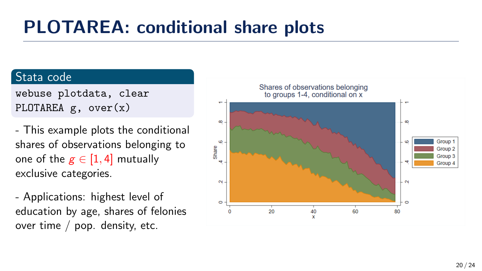### PLOTAREA: conditional share plots

#### Stata code

webuse plotdata, clear PLOTAREA g, over(x)

- This example plots the conditional shares of observations belonging to one of the  $g \in [1, 4]$  mutually exclusive categories.

- Applications: highest level of education by age, shares of felonies over time / pop. density, etc.

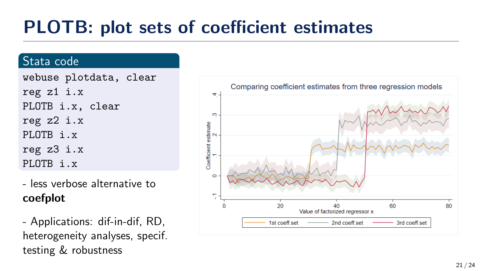### PLOTB: plot sets of coefficient estimates

#### Stata code

```
webuse plotdata, clear
reg z1 i.x
PLOTB i.x, clear
reg z2 i.x
PLOTB i.x
reg z3 i.x
PLOTB i.x
```
- less verbose alternative to coefplot

- Applications: dif-in-dif, RD, heterogeneity analyses, specif. testing & robustness

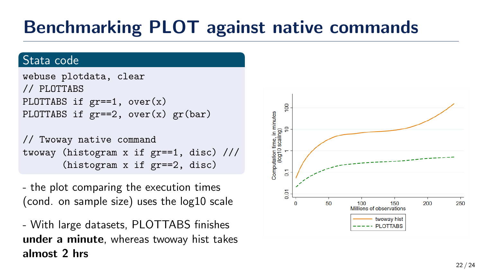### Benchmarking PLOT against native commands

#### Stata code

webuse plotdata, clear // PLOTTABS PLOTTABS if  $gr==1$ , over $(x)$ PLOTTABS if  $gr==2$ , over $(x)$   $gr(bar)$ 

// Twoway native command twoway (histogram x if gr==1, disc) /// (histogram x if gr==2, disc)

- the plot comparing the execution times (cond. on sample size) uses the log10 scale

- With large datasets, PLOTTABS finishes under a minute, whereas twoway hist takes almost 2 hrs

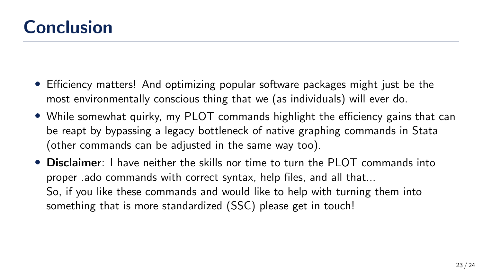### Conclusion

- Efficiency matters! And optimizing popular software packages might just be the most environmentally conscious thing that we (as individuals) will ever do.
- While somewhat quirky, my PLOT commands highlight the efficiency gains that can be reapt by bypassing a legacy bottleneck of native graphing commands in Stata (other commands can be adjusted in the same way too).
- Disclaimer: I have neither the skills nor time to turn the PLOT commands into proper .ado commands with correct syntax, help files, and all that... So, if you like these commands and would like to help with turning them into something that is more standardized (SSC) please get in touch!